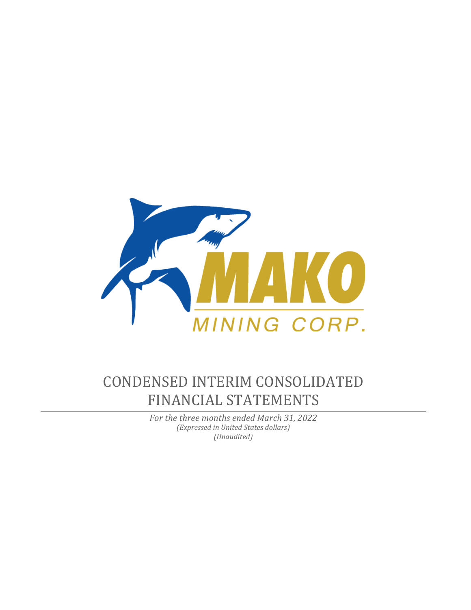

# CONDENSED INTERIM CONSOLIDATED FINANCIAL STATEMENTS

*For the three months ended March 31, 2022 (Expressed in United States dollars) (Unaudited)*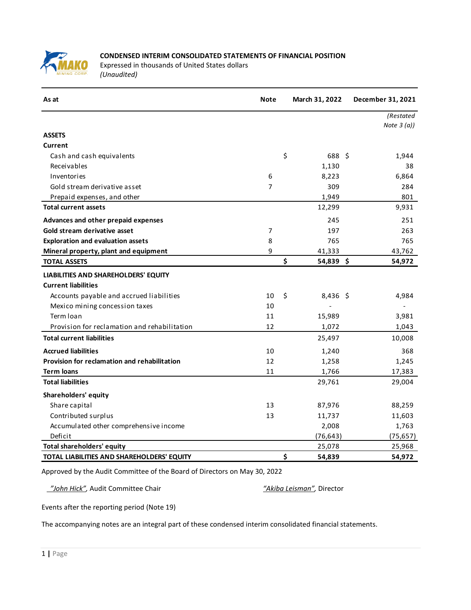

# **CONDENSED INTERIM CONSOLIDATED STATEMENTS OF FINANCIAL POSITION**

Expressed in thousands of United States dollars *(Unaudited)*

| As at                                        | <b>Note</b> | March 31, 2022  | December 31, 2021 |
|----------------------------------------------|-------------|-----------------|-------------------|
|                                              |             |                 | (Restated         |
| <b>ASSETS</b>                                |             |                 | Note $3(a)$       |
| Current                                      |             |                 |                   |
| Cash and cash equivalents                    |             | \$<br>688 \$    | 1,944             |
| Receivables                                  |             | 1,130           | 38                |
| Inventories                                  | 6           | 8,223           | 6,864             |
| Gold stream derivative asset                 | 7           | 309             | 284               |
| Prepaid expenses, and other                  |             | 1,949           | 801               |
| <b>Total current assets</b>                  |             | 12,299          | 9,931             |
| Advances and other prepaid expenses          |             | 245             | 251               |
| Gold stream derivative asset                 | 7           | 197             | 263               |
| <b>Exploration and evaluation assets</b>     | 8           | 765             | 765               |
| Mineral property, plant and equipment        | 9           | 41,333          | 43,762            |
| <b>TOTAL ASSETS</b>                          |             | \$<br>54,839 \$ | 54,972            |
| LIABILITIES AND SHAREHOLDERS' EQUITY         |             |                 |                   |
| <b>Current liabilities</b>                   |             |                 |                   |
| Accounts payable and accrued liabilities     | 10          | \$<br>8,436 \$  | 4,984             |
| Mexico mining concession taxes               | 10          |                 |                   |
| Term Ioan                                    | 11          | 15,989          | 3,981             |
| Provision for reclamation and rehabilitation | 12          | 1,072           | 1,043             |
| <b>Total current liabilities</b>             |             | 25,497          | 10,008            |
| <b>Accrued liabilities</b>                   | 10          | 1,240           | 368               |
| Provision for reclamation and rehabilitation | 12          | 1,258           | 1,245             |
| <b>Term loans</b>                            | 11          | 1,766           | 17,383            |
| <b>Total liabilities</b>                     |             | 29,761          | 29,004            |
| Shareholders' equity                         |             |                 |                   |
| Share capital                                | 13          | 87,976          | 88,259            |
| Contributed surplus                          | 13          | 11,737          | 11,603            |
| Accumulated other comprehensive income       |             | 2,008           | 1,763             |
| Deficit                                      |             | (76, 643)       | (75, 657)         |
| <b>Total shareholders' equity</b>            |             | 25,078          | 25,968            |
| TOTAL LIABILITIES AND SHAREHOLDERS' EQUITY   |             | \$<br>54,839    | 54,972            |

Approved by the Audit Committee of the Board of Directors on May 30, 2022

 *"John Hick",* Audit Committee Chair *"Akiba Leisman",* Director

Events after the reporting period (Note 19)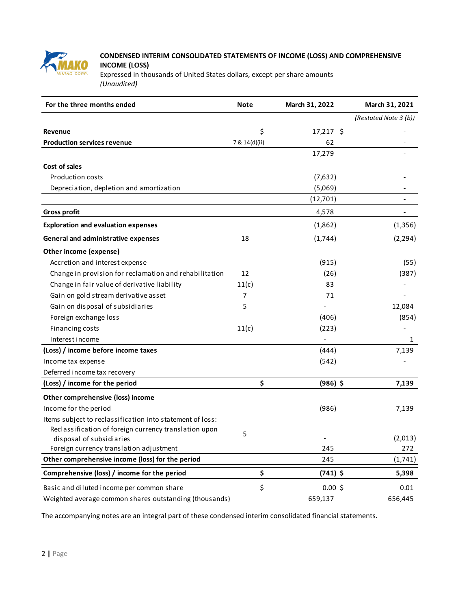

# **CONDENSED INTERIM CONSOLIDATED STATEMENTS OF INCOME (LOSS) AND COMPREHENSIVE INCOME (LOSS)**

Expressed in thousands of United States dollars, except per share amounts *(Unaudited)*

| For the three months ended                                | <b>Note</b>   | March 31, 2022 | March 31, 2021        |
|-----------------------------------------------------------|---------------|----------------|-----------------------|
|                                                           |               |                | (Restated Note 3 (b)) |
| Revenue                                                   | \$            | $17,217$ \$    |                       |
| <b>Production services revenue</b>                        | 7 & 14(d)(ii) | 62             |                       |
|                                                           |               | 17,279         |                       |
| Cost of sales                                             |               |                |                       |
| <b>Production costs</b>                                   |               | (7,632)        |                       |
| Depreciation, depletion and amortization                  |               | (5,069)        |                       |
|                                                           |               | (12, 701)      |                       |
| <b>Gross profit</b>                                       |               | 4,578          |                       |
| <b>Exploration and evaluation expenses</b>                |               | (1,862)        | (1,356)               |
| General and administrative expenses                       | 18            | (1,744)        | (2, 294)              |
| Other income (expense)                                    |               |                |                       |
| Accretion and interest expense                            |               | (915)          | (55)                  |
| Change in provision for reclamation and rehabilitation    | 12            | (26)           | (387)                 |
| Change in fair value of derivative liability              | 11(c)         | 83             |                       |
| Gain on gold stream derivative asset                      | 7             | 71             |                       |
| Gain on disposal of subsidiaries                          | 5             |                | 12,084                |
| Foreign exchange loss                                     |               | (406)          | (854)                 |
| Financing costs                                           | 11(c)         | (223)          |                       |
| Interest income                                           |               |                | 1                     |
| (Loss) / income before income taxes                       |               | (444)          | 7,139                 |
| Income tax expense                                        |               | (542)          |                       |
| Deferred income tax recovery                              |               |                |                       |
| (Loss) / income for the period                            | \$            | $(986)$ \$     | 7,139                 |
| Other comprehensive (loss) income                         |               |                |                       |
| Income for the period                                     |               | (986)          | 7,139                 |
| Items subject to reclassification into statement of loss: |               |                |                       |
| Reclassification of foreign currency translation upon     | 5             |                |                       |
| disposal of subsidiaries                                  |               |                | (2,013)               |
| Foreign currency translation adjustment                   |               | 245            | 272                   |
| Other comprehensive income (loss) for the period          |               | 245            | (1,741)               |
| Comprehensive (loss) / income for the period              | \$            | $(741)$ \$     | 5,398                 |
| Basic and diluted income per common share                 | \$            | $0.00$ \$      | 0.01                  |
| Weighted average common shares outstanding (thousands)    |               | 659,137        | 656,445               |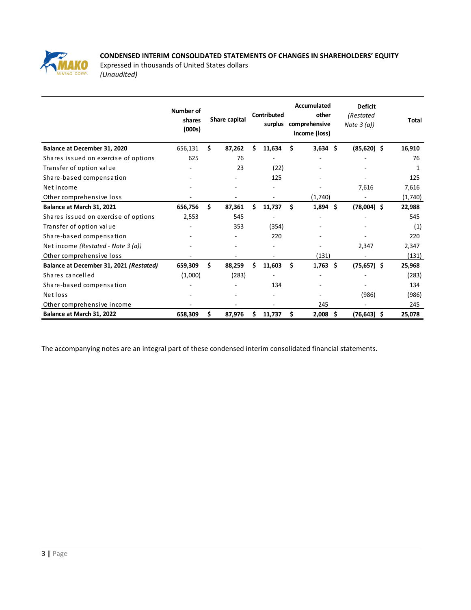

# **CONDENSED INTERIM CONSOLIDATED STATEMENTS OF CHANGES IN SHAREHOLDERS' EQUITY**

Expressed in thousands of United States dollars *(Unaudited)*

|                                         | Number of<br>shares<br>(000s) |    | Share capital |   | Contributed<br>surplus |     | Accumulated<br>other<br>comprehensive<br>income (loss) |     | <b>Deficit</b><br>(Restated<br>Note $3(a)$ | <b>Total</b> |
|-----------------------------------------|-------------------------------|----|---------------|---|------------------------|-----|--------------------------------------------------------|-----|--------------------------------------------|--------------|
| Balance at December 31, 2020            | 656,131                       | Ś. | 87,262        | Ś | 11,634                 | \$  | $3,634$ \$                                             |     | $(85,620)$ \$                              | 16,910       |
| Shares issued on exercise of options    | 625                           |    | 76            |   |                        |     |                                                        |     |                                            | 76           |
| Transfer of option value                |                               |    | 23            |   | (22)                   |     |                                                        |     |                                            | 1            |
| Share-based compensation                |                               |    |               |   | 125                    |     |                                                        |     |                                            | 125          |
| Net income                              |                               |    |               |   |                        |     |                                                        |     | 7,616                                      | 7,616        |
| Other comprehensive loss                |                               |    |               |   |                        |     | (1,740)                                                |     |                                            | (1,740)      |
| Balance at March 31, 2021               | 656,756                       | Ś  | 87,361        | Ś | 11,737                 | Ś   | $1,894$ \$                                             |     | $(78,004)$ \$                              | 22,988       |
| Shares issued on exercise of options    | 2,553                         |    | 545           |   |                        |     |                                                        |     |                                            | 545          |
| Transfer of option value                | ٠                             |    | 353           |   | (354)                  |     |                                                        |     |                                            | (1)          |
| Share-based compensation                |                               |    |               |   | 220                    |     |                                                        |     |                                            | 220          |
| Net income (Restated - Note 3 (a))      |                               |    |               |   |                        |     |                                                        |     | 2,347                                      | 2,347        |
| Other comprehensive loss                |                               |    |               |   |                        |     | (131)                                                  |     |                                            | (131)        |
| Balance at December 31, 2021 (Restated) | 659,309                       | Ś. | 88,259        | Ś | 11,603                 | \$. | 1,763                                                  | - Ś | $(75, 657)$ \$                             | 25,968       |
| Shares cancelled                        | (1,000)                       |    | (283)         |   |                        |     |                                                        |     |                                            | (283)        |
| Share-based compensation                |                               |    |               |   | 134                    |     |                                                        |     |                                            | 134          |
| Net loss                                |                               |    |               |   |                        |     |                                                        |     | (986)                                      | (986)        |
| Other comprehensive income              |                               |    |               |   |                        |     | 245                                                    |     |                                            | 245          |
| Balance at March 31, 2022               | 658,309                       | \$ | 87,976        | s | 11,737                 | \$  | 2,008                                                  | \$. | $(76, 643)$ \$                             | 25,078       |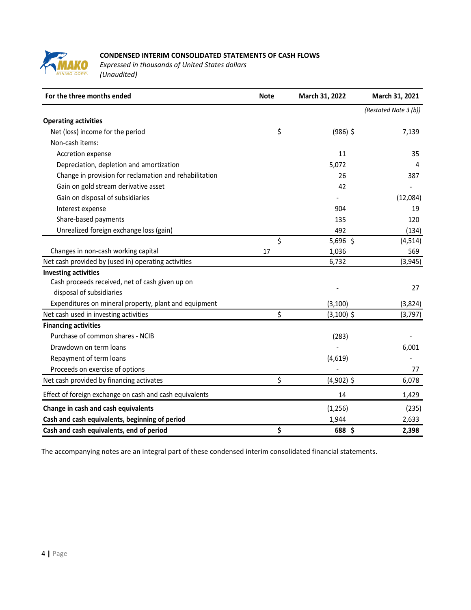

# **CONDENSED INTERIM CONSOLIDATED STATEMENTS OF CASH FLOWS**

*Expressed in thousands of United States dollars (Unaudited)*

| For the three months ended                              | <b>Note</b> | March 31, 2022 | March 31, 2021        |
|---------------------------------------------------------|-------------|----------------|-----------------------|
|                                                         |             |                | (Restated Note 3 (b)) |
| <b>Operating activities</b>                             |             |                |                       |
| Net (loss) income for the period                        | \$          | $(986)$ \$     | 7,139                 |
| Non-cash items:                                         |             |                |                       |
| Accretion expense                                       |             | 11             | 35                    |
| Depreciation, depletion and amortization                |             | 5,072          | 4                     |
| Change in provision for reclamation and rehabilitation  |             | 26             | 387                   |
| Gain on gold stream derivative asset                    |             | 42             |                       |
| Gain on disposal of subsidiaries                        |             |                | (12,084)              |
| Interest expense                                        |             | 904            | 19                    |
| Share-based payments                                    |             | 135            | 120                   |
| Unrealized foreign exchange loss (gain)                 |             | 492            | (134)                 |
|                                                         | \$          | 5,696 \$       | (4, 514)              |
| Changes in non-cash working capital                     | 17          | 1,036          | 569                   |
| Net cash provided by (used in) operating activities     |             | 6,732          | (3, 945)              |
| <b>Investing activities</b>                             |             |                |                       |
| Cash proceeds received, net of cash given up on         |             |                | 27                    |
| disposal of subsidiaries                                |             |                |                       |
| Expenditures on mineral property, plant and equipment   |             | (3, 100)       | (3,824)               |
| Net cash used in investing activities                   | \$          | $(3,100)$ \$   | (3, 797)              |
| <b>Financing activities</b>                             |             |                |                       |
| Purchase of common shares - NCIB                        |             | (283)          |                       |
| Drawdown on term loans                                  |             |                | 6,001                 |
| Repayment of term loans                                 |             | (4,619)        |                       |
| Proceeds on exercise of options                         |             |                | 77                    |
| Net cash provided by financing activates                | \$          | $(4,902)$ \$   | 6,078                 |
| Effect of foreign exchange on cash and cash equivalents |             | 14             | 1,429                 |
| Change in cash and cash equivalents                     |             | (1, 256)       | (235)                 |
| Cash and cash equivalents, beginning of period          |             | 1,944          | 2,633                 |
| Cash and cash equivalents, end of period                | \$          | 688 \$         | 2,398                 |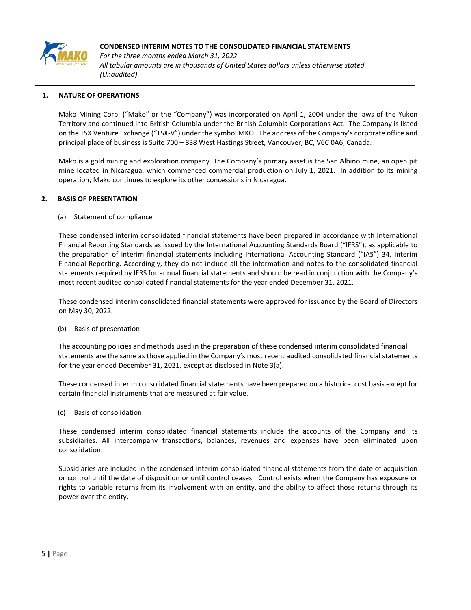

*For the three months ended March 31, 2022 All tabular amounts are in thousands of United States dollars unless otherwise stated (Unaudited)*

## **1. NATURE OF OPERATIONS**

Mako Mining Corp. ("Mako" or the "Company") was incorporated on April 1, 2004 under the laws of the Yukon Territory and continued into British Columbia under the British Columbia Corporations Act. The Company is listed on the TSX Venture Exchange ("TSX-V") under the symbol MKO. The address of the Company's corporate office and principal place of business is Suite 700 – 838 West Hastings Street, Vancouver, BC, V6C 0A6, Canada.

Mako is a gold mining and exploration company. The Company's primary asset is the San Albino mine, an open pit mine located in Nicaragua, which commenced commercial production on July 1, 2021. In addition to its mining operation, Mako continues to explore its other concessions in Nicaragua.

#### **2. BASIS OF PRESENTATION**

#### (a) Statement of compliance

These condensed interim consolidated financial statements have been prepared in accordance with International Financial Reporting Standards as issued by the International Accounting Standards Board ("IFRS"), as applicable to the preparation of interim financial statements including International Accounting Standard ("IAS") 34, Interim Financial Reporting. Accordingly, they do not include all the information and notes to the consolidated financial statements required by IFRS for annual financial statements and should be read in conjunction with the Company's most recent audited consolidated financial statements for the year ended December 31, 2021.

These condensed interim consolidated financial statements were approved for issuance by the Board of Directors on May 30, 2022.

#### (b) Basis of presentation

The accounting policies and methods used in the preparation of these condensed interim consolidated financial statements are the same as those applied in the Company's most recent audited consolidated financial statements for the year ended December 31, 2021, except as disclosed in Note 3(a).

These condensed interim consolidated financial statements have been prepared on a historical cost basis except for certain financial instruments that are measured at fair value.

(c) Basis of consolidation

These condensed interim consolidated financial statements include the accounts of the Company and its subsidiaries. All intercompany transactions, balances, revenues and expenses have been eliminated upon consolidation.

Subsidiaries are included in the condensed interim consolidated financial statements from the date of acquisition or control until the date of disposition or until control ceases. Control exists when the Company has exposure or rights to variable returns from its involvement with an entity, and the ability to affect those returns through its power over the entity.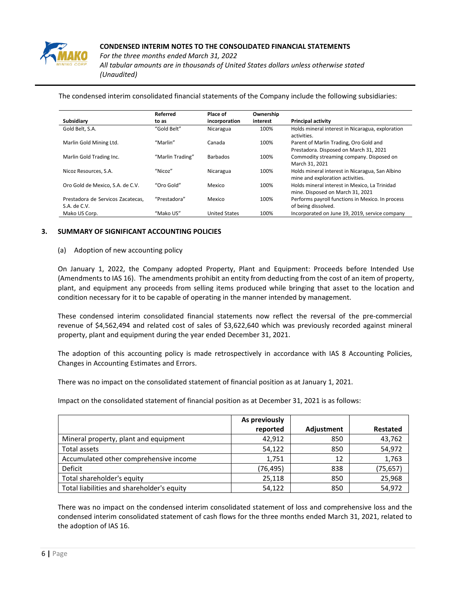

*For the three months ended March 31, 2022 All tabular amounts are in thousands of United States dollars unless otherwise stated (Unaudited)*

The condensed interim consolidated financial statements of the Company include the following subsidiaries:

|                                                   | Referred         | Place of             | Ownership |                                                                                     |
|---------------------------------------------------|------------------|----------------------|-----------|-------------------------------------------------------------------------------------|
| Subsidiary                                        | to as            | incorporation        | interest  | <b>Principal activity</b>                                                           |
| Gold Belt, S.A.                                   | "Gold Belt"      | Nicaragua            | 100%      | Holds mineral interest in Nicaragua, exploration<br>activities.                     |
| Marlin Gold Mining Ltd.                           | "Marlin"         | Canada               | 100%      | Parent of Marlin Trading, Oro Gold and<br>Prestadora. Disposed on March 31, 2021    |
| Marlin Gold Trading Inc.                          | "Marlin Trading" | <b>Barbados</b>      | 100%      | Commodity streaming company. Disposed on<br>March 31, 2021                          |
| Nicoz Resources, S.A.                             | "Nicoz"          | Nicaragua            | 100%      | Holds mineral interest in Nicaragua, San Albino<br>mine and exploration activities. |
| Oro Gold de Mexico, S.A. de C.V.                  | "Oro Gold"       | Mexico               | 100%      | Holds mineral interest in Mexico. La Trinidad<br>mine. Disposed on March 31, 2021   |
| Prestadora de Servicos Zacatecas.<br>S.A. de C.V. | "Prestadora"     | Mexico               | 100%      | Performs payroll functions in Mexico. In process<br>of being dissolved.             |
| Mako US Corp.                                     | "Mako US"        | <b>United States</b> | 100%      | Incorporated on June 19, 2019, service company                                      |

#### **3. SUMMARY OF SIGNIFICANT ACCOUNTING POLICIES**

#### (a) Adoption of new accounting policy

On January 1, 2022, the Company adopted Property, Plant and Equipment: Proceeds before Intended Use (Amendments to IAS 16). The amendments prohibit an entity from deducting from the cost of an item of property, plant, and equipment any proceeds from selling items produced while bringing that asset to the location and condition necessary for it to be capable of operating in the manner intended by management.

These condensed interim consolidated financial statements now reflect the reversal of the pre-commercial revenue of \$4,562,494 and related cost of sales of \$3,622,640 which was previously recorded against mineral property, plant and equipment during the year ended December 31, 2021.

The adoption of this accounting policy is made retrospectively in accordance with IAS 8 Accounting Policies, Changes in Accounting Estimates and Errors.

There was no impact on the consolidated statement of financial position as at January 1, 2021.

Impact on the consolidated statement of financial position as at December 31, 2021 is as follows:

|                                            | As previously |                   |                 |
|--------------------------------------------|---------------|-------------------|-----------------|
|                                            | reported      | <b>Adjustment</b> | <b>Restated</b> |
| Mineral property, plant and equipment      | 42,912        | 850               | 43,762          |
| Total assets                               | 54,122        | 850               | 54,972          |
| Accumulated other comprehensive income     | 1,751         | 12                | 1,763           |
| Deficit                                    | (76,495)      | 838               | (75, 657)       |
| Total shareholder's equity                 | 25,118        | 850               | 25,968          |
| Total liabilities and shareholder's equity | 54,122        | 850               | 54,972          |

There was no impact on the condensed interim consolidated statement of loss and comprehensive loss and the condensed interim consolidated statement of cash flows for the three months ended March 31, 2021, related to the adoption of IAS 16.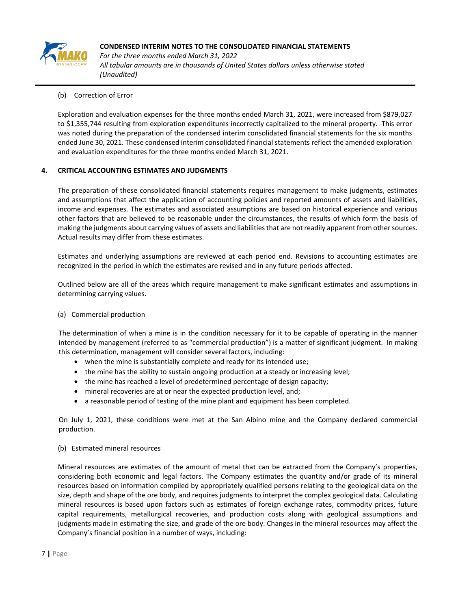

*For the three months ended March 31, 2022 All tabular amounts are in thousands of United States dollars unless otherwise stated (Unaudited)*

# (b) Correction of Error

Exploration and evaluation expenses for the three months ended March 31, 2021, were increased from \$879,027 to \$1,355,744 resulting from exploration expenditures incorrectly capitalized to the mineral property. This error was noted during the preparation of the condensed interim consolidated financial statements for the six months ended June 30, 2021. These condensed interim consolidated financial statements reflect the amended exploration and evaluation expenditures for the three months ended March 31, 2021.

# **4. CRITICAL ACCOUNTING ESTIMATES AND JUDGMENTS**

The preparation of these consolidated financial statements requires management to make judgments, estimates and assumptions that affect the application of accounting policies and reported amounts of assets and liabilities, income and expenses. The estimates and associated assumptions are based on historical experience and various other factors that are believed to be reasonable under the circumstances, the results of which form the basis of making the judgments about carrying values of assets and liabilities that are not readily apparent from other sources. Actual results may differ from these estimates.

Estimates and underlying assumptions are reviewed at each period end. Revisions to accounting estimates are recognized in the period in which the estimates are revised and in any future periods affected.

Outlined below are all of the areas which require management to make significant estimates and assumptions in determining carrying values.

# (a) Commercial production

The determination of when a mine is in the condition necessary for it to be capable of operating in the manner intended by management (referred to as "commercial production") is a matter of significant judgment. In making this determination, management will consider several factors, including:

- when the mine is substantially complete and ready for its intended use;
- the mine has the ability to sustain ongoing production at a steady or increasing level;
- the mine has reached a level of predetermined percentage of design capacity;
- mineral recoveries are at or near the expected production level, and;
- a reasonable period of testing of the mine plant and equipment has been completed.

On July 1, 2021, these conditions were met at the San Albino mine and the Company declared commercial production.

# (b) Estimated mineral resources

Mineral resources are estimates of the amount of metal that can be extracted from the Company's properties, considering both economic and legal factors. The Company estimates the quantity and/or grade of its mineral resources based on information compiled by appropriately qualified persons relating to the geological data on the size, depth and shape of the ore body, and requires judgments to interpret the complex geological data. Calculating mineral resources is based upon factors such as estimates of foreign exchange rates, commodity prices, future capital requirements, metallurgical recoveries, and production costs along with geological assumptions and judgments made in estimating the size, and grade of the ore body. Changes in the mineral resources may affect the Company's financial position in a number of ways, including: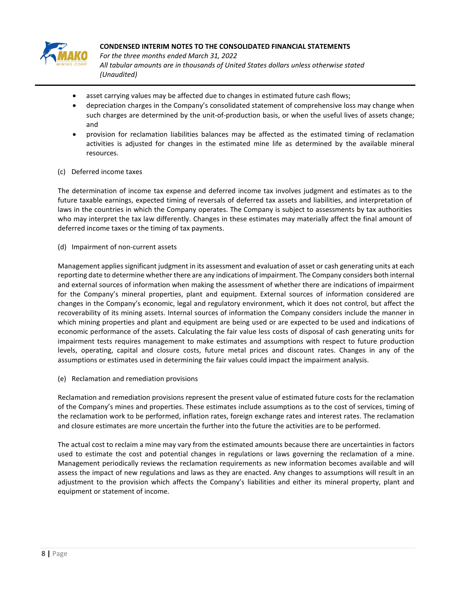

*For the three months ended March 31, 2022 All tabular amounts are in thousands of United States dollars unless otherwise stated (Unaudited)*

- asset carrying values may be affected due to changes in estimated future cash flows;
- depreciation charges in the Company's consolidated statement of comprehensive loss may change when such charges are determined by the unit-of-production basis, or when the useful lives of assets change; and
- provision for reclamation liabilities balances may be affected as the estimated timing of reclamation activities is adjusted for changes in the estimated mine life as determined by the available mineral resources.

# (c) Deferred income taxes

The determination of income tax expense and deferred income tax involves judgment and estimates as to the future taxable earnings, expected timing of reversals of deferred tax assets and liabilities, and interpretation of laws in the countries in which the Company operates. The Company is subject to assessments by tax authorities who may interpret the tax law differently. Changes in these estimates may materially affect the final amount of deferred income taxes or the timing of tax payments.

(d) Impairment of non-current assets

Management applies significant judgment in its assessment and evaluation of asset or cash generating units at each reporting date to determine whether there are any indications of impairment. The Company considers both internal and external sources of information when making the assessment of whether there are indications of impairment for the Company's mineral properties, plant and equipment. External sources of information considered are changes in the Company's economic, legal and regulatory environment, which it does not control, but affect the recoverability of its mining assets. Internal sources of information the Company considers include the manner in which mining properties and plant and equipment are being used or are expected to be used and indications of economic performance of the assets. Calculating the fair value less costs of disposal of cash generating units for impairment tests requires management to make estimates and assumptions with respect to future production levels, operating, capital and closure costs, future metal prices and discount rates. Changes in any of the assumptions or estimates used in determining the fair values could impact the impairment analysis.

(e) Reclamation and remediation provisions

Reclamation and remediation provisions represent the present value of estimated future costs for the reclamation of the Company's mines and properties. These estimates include assumptions as to the cost of services, timing of the reclamation work to be performed, inflation rates, foreign exchange rates and interest rates. The reclamation and closure estimates are more uncertain the further into the future the activities are to be performed.

The actual cost to reclaim a mine may vary from the estimated amounts because there are uncertainties in factors used to estimate the cost and potential changes in regulations or laws governing the reclamation of a mine. Management periodically reviews the reclamation requirements as new information becomes available and will assess the impact of new regulations and laws as they are enacted. Any changes to assumptions will result in an adjustment to the provision which affects the Company's liabilities and either its mineral property, plant and equipment or statement of income.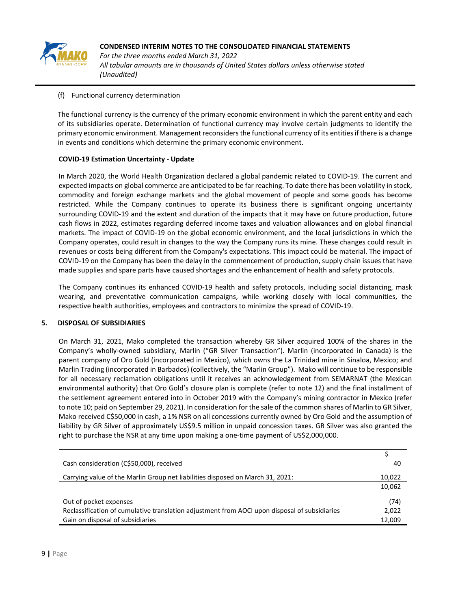

*For the three months ended March 31, 2022 All tabular amounts are in thousands of United States dollars unless otherwise stated (Unaudited)*

(f) Functional currency determination

The functional currency is the currency of the primary economic environment in which the parent entity and each of its subsidiaries operate. Determination of functional currency may involve certain judgments to identify the primary economic environment. Management reconsiders the functional currency of its entities if there is a change in events and conditions which determine the primary economic environment.

# **COVID-19 Estimation Uncertainty - Update**

In March 2020, the World Health Organization declared a global pandemic related to COVID-19. The current and expected impacts on global commerce are anticipated to be far reaching. To date there has been volatility in stock, commodity and foreign exchange markets and the global movement of people and some goods has become restricted. While the Company continues to operate its business there is significant ongoing uncertainty surrounding COVID-19 and the extent and duration of the impacts that it may have on future production, future cash flows in 2022, estimates regarding deferred income taxes and valuation allowances and on global financial markets. The impact of COVID-19 on the global economic environment, and the local jurisdictions in which the Company operates, could result in changes to the way the Company runs its mine. These changes could result in revenues or costs being different from the Company's expectations. This impact could be material. The impact of COVID-19 on the Company has been the delay in the commencement of production, supply chain issues that have made supplies and spare parts have caused shortages and the enhancement of health and safety protocols.

The Company continues its enhanced COVID-19 health and safety protocols, including social distancing, mask wearing, and preventative communication campaigns, while working closely with local communities, the respective health authorities, employees and contractors to minimize the spread of COVID-19.

# **5. DISPOSAL OF SUBSIDIARIES**

On March 31, 2021, Mako completed the transaction whereby GR Silver acquired 100% of the shares in the Company's wholly-owned subsidiary, Marlin ("GR Silver Transaction"). Marlin (incorporated in Canada) is the parent company of Oro Gold (incorporated in Mexico), which owns the La Trinidad mine in Sinaloa, Mexico; and Marlin Trading (incorporated in Barbados) (collectively, the "Marlin Group"). Mako will continue to be responsible for all necessary reclamation obligations until it receives an acknowledgement from SEMARNAT (the Mexican environmental authority) that Oro Gold's closure plan is complete (refer to note 12) and the final installment of the settlement agreement entered into in October 2019 with the Company's mining contractor in Mexico (refer to note 10; paid on September 29, 2021). In consideration for the sale of the common shares of Marlin to GR Silver, Mako received C\$50,000 in cash, a 1% NSR on all concessions currently owned by Oro Gold and the assumption of liability by GR Silver of approximately US\$9.5 million in unpaid concession taxes. GR Silver was also granted the right to purchase the NSR at any time upon making a one-time payment of US\$2,000,000.

| Cash consideration (C\$50,000), received                                                      | 40     |
|-----------------------------------------------------------------------------------------------|--------|
| Carrying value of the Marlin Group net liabilities disposed on March 31, 2021:                | 10,022 |
|                                                                                               | 10,062 |
| Out of pocket expenses                                                                        | (74)   |
| Reclassification of cumulative translation adjustment from AOCI upon disposal of subsidiaries | 2,022  |
| Gain on disposal of subsidiaries                                                              | 12,009 |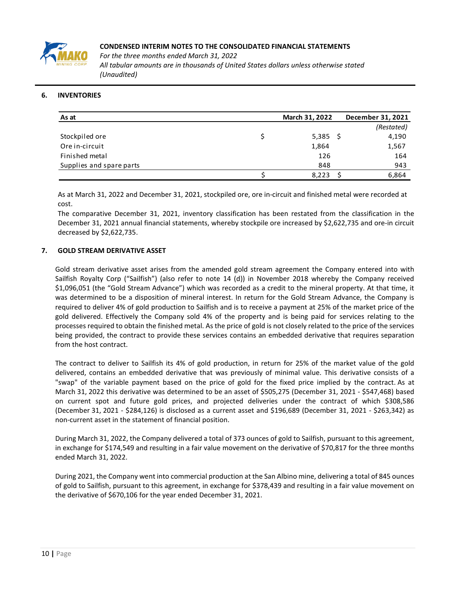

# **6. INVENTORIES**

| As at                    | March 31, 2022 |    | December 31, 2021 |
|--------------------------|----------------|----|-------------------|
|                          |                |    | (Restated)        |
| Stockpiled ore           | 5,385          | -S | 4,190             |
| Ore in-circuit           | 1,864          |    | 1,567             |
| Finished metal           | 126            |    | 164               |
| Supplies and spare parts | 848            |    | 943               |
|                          | 8,223          |    | 6,864             |

As at March 31, 2022 and December 31, 2021, stockpiled ore, ore in-circuit and finished metal were recorded at cost.

The comparative December 31, 2021, inventory classification has been restated from the classification in the December 31, 2021 annual financial statements, whereby stockpile ore increased by \$2,622,735 and ore-in circuit decreased by \$2,622,735.

#### **7. GOLD STREAM DERIVATIVE ASSET**

Gold stream derivative asset arises from the amended gold stream agreement the Company entered into with Sailfish Royalty Corp ("Sailfish") (also refer to note 14 (d)) in November 2018 whereby the Company received \$1,096,051 (the "Gold Stream Advance") which was recorded as a credit to the mineral property. At that time, it was determined to be a disposition of mineral interest. In return for the Gold Stream Advance, the Company is required to deliver 4% of gold production to Sailfish and is to receive a payment at 25% of the market price of the gold delivered. Effectively the Company sold 4% of the property and is being paid for services relating to the processes required to obtain the finished metal. As the price of gold is not closely related to the price of the services being provided, the contract to provide these services contains an embedded derivative that requires separation from the host contract.

The contract to deliver to Sailfish its 4% of gold production, in return for 25% of the market value of the gold delivered, contains an embedded derivative that was previously of minimal value. This derivative consists of a "swap" of the variable payment based on the price of gold for the fixed price implied by the contract. As at March 31, 2022 this derivative was determined to be an asset of \$505,275 (December 31, 2021 - \$547,468) based on current spot and future gold prices, and projected deliveries under the contract of which \$308,586 (December 31, 2021 - \$284,126) is disclosed as a current asset and \$196,689 (December 31, 2021 - \$263,342) as non-current asset in the statement of financial position.

During March 31, 2022, the Company delivered a total of 373 ounces of gold to Sailfish, pursuant to this agreement, in exchange for \$174,549 and resulting in a fair value movement on the derivative of \$70,817 for the three months ended March 31, 2022.

During 2021, the Company went into commercial production at the San Albino mine, delivering a total of 845 ounces of gold to Sailfish, pursuant to this agreement, in exchange for \$378,439 and resulting in a fair value movement on the derivative of \$670,106 for the year ended December 31, 2021.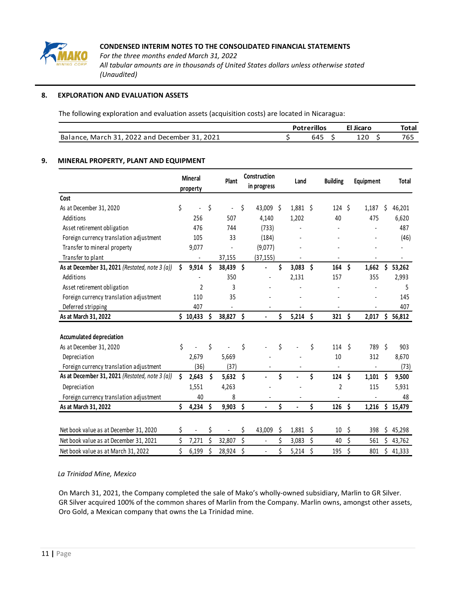

#### **8. EXPLORATION AND EVALUATION ASSETS**

The following exploration and evaluation assets (acquisition costs) are located in Nicaragua:

|                                                                                   | illos                 | <b>licarc</b> | otal |
|-----------------------------------------------------------------------------------|-----------------------|---------------|------|
| 2022<br>2021<br>-21<br>Bala<br>and<br>. December :<br>March<br>ance.<br>$-0.22$ . | $\overline{a}$<br>04J | ᆂᄼ            | 'b:  |

#### **9. MINERAL PROPERTY, PLANT AND EQUIPMENT**

|                                                |    | <b>Mineral</b><br>property |      | Plant      |    | Construction<br>in progress |    | Land  |    | <b>Building</b>  |    | Equipment |    | <b>Total</b>   |
|------------------------------------------------|----|----------------------------|------|------------|----|-----------------------------|----|-------|----|------------------|----|-----------|----|----------------|
| Cost                                           |    |                            |      |            |    |                             |    |       |    |                  |    |           |    |                |
| As at December 31, 2020                        | \$ |                            | \$   |            | Ś. | 43,009 \$                   |    | 1,881 | \$ | 124S             |    | 1,187     | \$ | 46,201         |
| Additions                                      |    | 256                        |      | 507        |    | 4,140                       |    | 1,202 |    | 40               |    | 475       |    | 6,620          |
| Asset retirement obligation                    |    | 476                        |      | 744        |    | (733)                       |    |       |    |                  |    |           |    | 487            |
| Foreign currency translation adjustment        |    | 105                        |      | 33         |    | (184)                       |    |       |    |                  |    |           |    | (46)           |
| Transfer to mineral property                   |    | 9,077                      |      |            |    | (9,077)                     |    |       |    |                  |    |           |    | $\overline{a}$ |
| Transfer to plant                              |    |                            |      | 37,155     |    | (37, 155)                   |    |       |    |                  |    |           |    |                |
| As at December 31, 2021 (Restated, note 3 (a)) | \$ | 9,914                      | - \$ | 38,439     | \$ | $\overline{\phantom{a}}$    | \$ | 3,083 | Ŝ  | 164              | \$ | 1,662     | \$ | 53,262         |
| Additions                                      |    |                            |      | 350        |    |                             |    | 2,131 |    | 157              |    | 355       |    | 2,993          |
| Asset retirement obligation                    |    | $\overline{2}$             |      | 3          |    |                             |    |       |    |                  |    |           |    | 5              |
| Foreign currency translation adjustment        |    | 110                        |      | 35         |    |                             |    |       |    |                  |    |           |    | 145            |
| Deferred stripping                             |    | 407                        |      |            |    |                             |    |       |    |                  |    |           |    | 407            |
| As at March 31, 2022                           |    | \$10,433                   | \$   | 38,827     | \$ |                             | \$ | 5,214 | Ś  | 321              | Ś  | 2,017     | \$ | 56,812         |
|                                                |    |                            |      |            |    |                             |    |       |    |                  |    |           |    |                |
| <b>Accumulated depreciation</b>                |    |                            |      |            |    |                             |    |       |    |                  |    |           |    |                |
| As at December 31, 2020                        | \$ |                            | \$   |            | \$ |                             | Ś  |       | \$ | 114              | Ś. | 789       | Ś. | 903            |
| Depreciation                                   |    | 2.679                      |      | 5,669      |    |                             |    |       |    | 10               |    | 312       |    | 8,670          |
| Foreign currency translation adjustment        |    | (36)                       |      | (37)       |    |                             |    |       |    | $\blacksquare$   |    |           |    | (73)           |
| As at December 31, 2021 (Restated, note 3 (a)) | Ś. | 2,643                      | Ś    | 5,632      | \$ |                             | \$ |       | \$ | 124              | \$ | 1,101     | \$ | 9,500          |
| Depreciation                                   |    | 1,551                      |      | 4,263      |    |                             |    |       |    | 2                |    | 115       |    | 5,931          |
| Foreign currency translation adjustment        |    | 40                         |      | 8          |    |                             |    |       |    |                  |    |           |    | 48             |
| As at March 31, 2022                           | Ś. | 4,234                      | \$   | $9,903$ \$ |    |                             | \$ |       | \$ | 126              | Ś  | 1,216     |    | \$15,479       |
|                                                |    |                            |      |            |    |                             |    |       |    |                  |    |           |    |                |
| Net book value as at December 31, 2020         | Ś. |                            | \$   |            | \$ | 43,009                      | \$ | 1,881 | \$ | $10 \frac{1}{5}$ |    | 398       |    | \$45,298       |
| Net book value as at December 31, 2021         | Ś  | 7,271                      | Ś    | 32,807     | Ś. |                             | Ś  | 3,083 | Ś. | 40               | \$ | 561       |    | \$43,762       |
| Net book value as at March 31, 2022            | Ś. | 6,199                      | \$   | 28,924     | \$ | $\blacksquare$              | \$ | 5,214 | \$ | 195              | \$ | 801       |    | \$41,333       |

## *La Trinidad Mine, Mexico*

On March 31, 2021, the Company completed the sale of Mako's wholly-owned subsidiary, Marlin to GR Silver. GR Silver acquired 100% of the common shares of Marlin from the Company. Marlin owns, amongst other assets, Oro Gold, a Mexican company that owns the La Trinidad mine.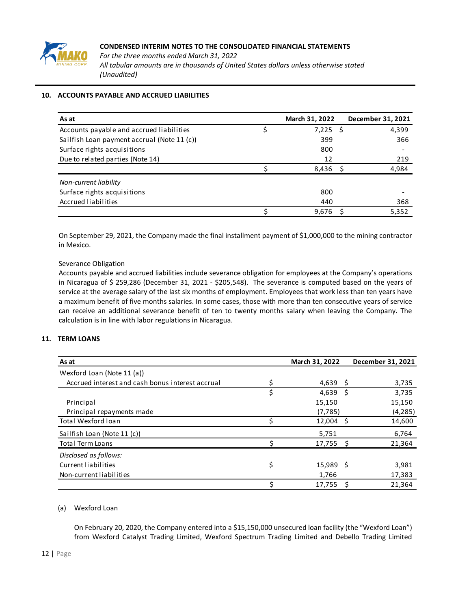

# **10. ACCOUNTS PAYABLE AND ACCRUED LIABILITIES**

| As at                                       | March 31, 2022 |      | December 31, 2021 |
|---------------------------------------------|----------------|------|-------------------|
| Accounts payable and accrued liabilities    | 7,225          | - \$ | 4,399             |
| Sailfish Loan payment accrual (Note 11 (c)) | 399            |      | 366               |
| Surface rights acquisitions                 | 800            |      |                   |
| Due to related parties (Note 14)            | 12             |      | 219               |
|                                             | 8,436          |      | 4,984             |
| Non-current liability                       |                |      |                   |
| Surface rights acquisitions                 | 800            |      |                   |
| Accrued liabilities                         | 440            |      | 368               |
|                                             | 9.676          |      | 5,352             |

On September 29, 2021, the Company made the final installment payment of \$1,000,000 to the mining contractor in Mexico.

#### Severance Obligation

Accounts payable and accrued liabilities include severance obligation for employees at the Company's operations in Nicaragua of \$ 259,286 (December 31, 2021 - \$205,548). The severance is computed based on the years of service at the average salary of the last six months of employment. Employees that work less than ten years have a maximum benefit of five months salaries. In some cases, those with more than ten consecutive years of service can receive an additional severance benefit of ten to twenty months salary when leaving the Company. The calculation is in line with labor regulations in Nicaragua.

# **11. TERM LOANS**

| As at                                            | March 31, 2022    | December 31, 2021 |
|--------------------------------------------------|-------------------|-------------------|
| Wexford Loan (Note 11 (a))                       |                   |                   |
| Accrued interest and cash bonus interest accrual | \$<br>4,639 \$    | 3,735             |
|                                                  | \$<br>$4,639$ \$  | 3,735             |
| Principal                                        | 15,150            | 15,150            |
| Principal repayments made                        | (7, 785)          | (4, 285)          |
| Total Wexford Ioan                               | 12,004            | 14,600<br>- Ś     |
| Sailfish Loan (Note 11 (c))                      | 5,751             | 6,764             |
| Total Term Loans                                 | 17,755            | 21,364            |
| Disclosed as follows:                            |                   |                   |
| Current liabilities                              | \$<br>$15,989$ \$ | 3,981             |
| Non-current liabilities                          | 1,766             | 17,383            |
|                                                  | 17,755            | 21,364<br>- S     |

# (a) Wexford Loan

On February 20, 2020, the Company entered into a \$15,150,000 unsecured loan facility (the "Wexford Loan") from Wexford Catalyst Trading Limited, Wexford Spectrum Trading Limited and Debello Trading Limited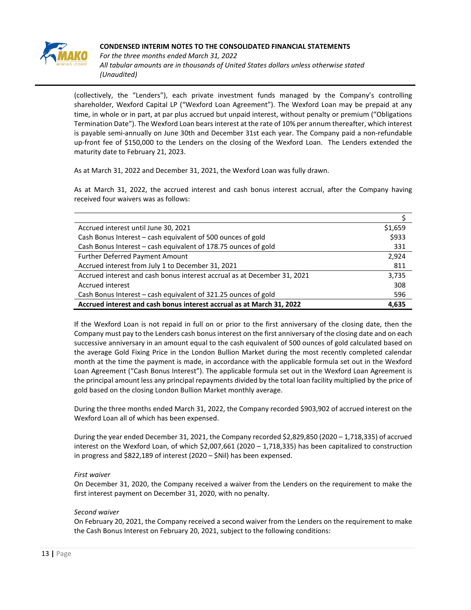

*For the three months ended March 31, 2022 All tabular amounts are in thousands of United States dollars unless otherwise stated (Unaudited)*

(collectively, the "Lenders"), each private investment funds managed by the Company's controlling shareholder, Wexford Capital LP ("Wexford Loan Agreement"). The Wexford Loan may be prepaid at any time, in whole or in part, at par plus accrued but unpaid interest, without penalty or premium ("Obligations Termination Date"). The Wexford Loan bears interest at the rate of 10% per annum thereafter, which interest is payable semi-annually on June 30th and December 31st each year. The Company paid a non-refundable up-front fee of \$150,000 to the Lenders on the closing of the Wexford Loan. The Lenders extended the maturity date to February 21, 2023.

As at March 31, 2022 and December 31, 2021, the Wexford Loan was fully drawn.

As at March 31, 2022, the accrued interest and cash bonus interest accrual, after the Company having received four waivers was as follows:

| Accrued interest until June 30, 2021                                     | \$1,659 |
|--------------------------------------------------------------------------|---------|
| Cash Bonus Interest - cash equivalent of 500 ounces of gold              | \$933   |
| Cash Bonus Interest - cash equivalent of 178.75 ounces of gold           | 331     |
| Further Deferred Payment Amount                                          | 2,924   |
| Accrued interest from July 1 to December 31, 2021                        | 811     |
| Accrued interest and cash bonus interest accrual as at December 31, 2021 | 3,735   |
| Accrued interest                                                         | 308     |
| Cash Bonus Interest – cash equivalent of 321.25 ounces of gold           | 596     |
| Accrued interest and cash bonus interest accrual as at March 31, 2022    | 4.635   |

If the Wexford Loan is not repaid in full on or prior to the first anniversary of the closing date, then the Company must pay to the Lenders cash bonus interest on the first anniversary of the closing date and on each successive anniversary in an amount equal to the cash equivalent of 500 ounces of gold calculated based on the average Gold Fixing Price in the London Bullion Market during the most recently completed calendar month at the time the payment is made, in accordance with the applicable formula set out in the Wexford Loan Agreement ("Cash Bonus Interest"). The applicable formula set out in the Wexford Loan Agreement is the principal amount less any principal repayments divided by the total loan facility multiplied by the price of gold based on the closing London Bullion Market monthly average.

During the three months ended March 31, 2022, the Company recorded \$903,902 of accrued interest on the Wexford Loan all of which has been expensed.

During the year ended December 31, 2021, the Company recorded \$2,829,850 (2020 – 1,718,335) of accrued interest on the Wexford Loan, of which \$2,007,661 (2020 – 1,718,335) has been capitalized to construction in progress and \$822,189 of interest (2020 – \$Nil) has been expensed.

# *First waiver*

On December 31, 2020, the Company received a waiver from the Lenders on the requirement to make the first interest payment on December 31, 2020, with no penalty.

# *Second waiver*

On February 20, 2021, the Company received a second waiver from the Lenders on the requirement to make the Cash Bonus Interest on February 20, 2021, subject to the following conditions: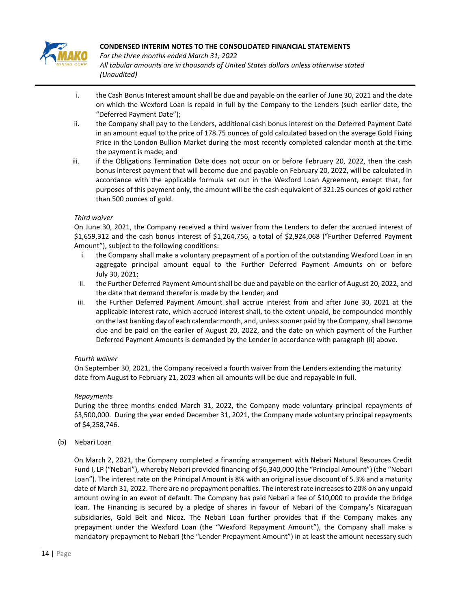

*For the three months ended March 31, 2022 All tabular amounts are in thousands of United States dollars unless otherwise stated (Unaudited)*

- i. the Cash Bonus Interest amount shall be due and payable on the earlier of June 30, 2021 and the date on which the Wexford Loan is repaid in full by the Company to the Lenders (such earlier date, the "Deferred Payment Date");
- ii. the Company shall pay to the Lenders, additional cash bonus interest on the Deferred Payment Date in an amount equal to the price of 178.75 ounces of gold calculated based on the average Gold Fixing Price in the London Bullion Market during the most recently completed calendar month at the time the payment is made; and
- iii. if the Obligations Termination Date does not occur on or before February 20, 2022, then the cash bonus interest payment that will become due and payable on February 20, 2022, will be calculated in accordance with the applicable formula set out in the Wexford Loan Agreement, except that, for purposes of this payment only, the amount will be the cash equivalent of 321.25 ounces of gold rather than 500 ounces of gold.

# *Third waiver*

On June 30, 2021, the Company received a third waiver from the Lenders to defer the accrued interest of \$1,659,312 and the cash bonus interest of \$1,264,756, a total of \$2,924,068 ("Further Deferred Payment Amount"), subject to the following conditions:

- i. the Company shall make a voluntary prepayment of a portion of the outstanding Wexford Loan in an aggregate principal amount equal to the Further Deferred Payment Amounts on or before July 30, 2021;
- ii. the Further Deferred Payment Amount shall be due and payable on the earlier of August 20, 2022, and the date that demand therefor is made by the Lender; and
- iii. the Further Deferred Payment Amount shall accrue interest from and after June 30, 2021 at the applicable interest rate, which accrued interest shall, to the extent unpaid, be compounded monthly on the last banking day of each calendar month, and, unless sooner paid by the Company, shall become due and be paid on the earlier of August 20, 2022, and the date on which payment of the Further Deferred Payment Amounts is demanded by the Lender in accordance with paragraph (ii) above.

# *Fourth waiver*

On September 30, 2021, the Company received a fourth waiver from the Lenders extending the maturity date from August to February 21, 2023 when all amounts will be due and repayable in full.

# *Repayments*

During the three months ended March 31, 2022, the Company made voluntary principal repayments of \$3,500,000. During the year ended December 31, 2021, the Company made voluntary principal repayments of \$4,258,746.

(b) Nebari Loan

On March 2, 2021, the Company completed a financing arrangement with Nebari Natural Resources Credit Fund I, LP ("Nebari"), whereby Nebari provided financing of \$6,340,000 (the "Principal Amount") (the "Nebari Loan"). The interest rate on the Principal Amount is 8% with an original issue discount of 5.3% and a maturity date of March 31, 2022. There are no prepayment penalties. The interest rate increases to 20% on any unpaid amount owing in an event of default. The Company has paid Nebari a fee of \$10,000 to provide the bridge loan. The Financing is secured by a pledge of shares in favour of Nebari of the Company's Nicaraguan subsidiaries, Gold Belt and Nicoz. The Nebari Loan further provides that if the Company makes any prepayment under the Wexford Loan (the "Wexford Repayment Amount"), the Company shall make a mandatory prepayment to Nebari (the "Lender Prepayment Amount") in at least the amount necessary such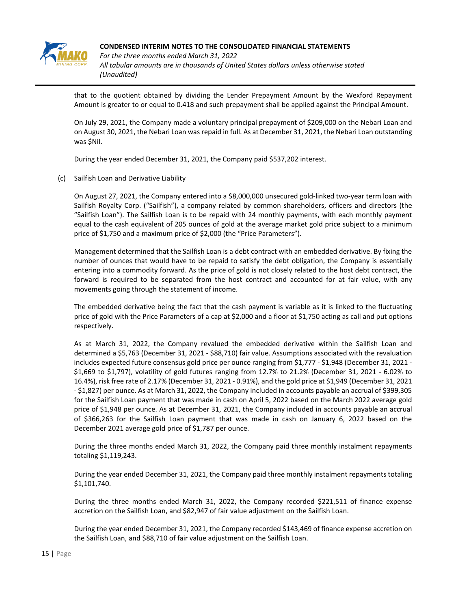

*For the three months ended March 31, 2022 All tabular amounts are in thousands of United States dollars unless otherwise stated (Unaudited)*

that to the quotient obtained by dividing the Lender Prepayment Amount by the Wexford Repayment Amount is greater to or equal to 0.418 and such prepayment shall be applied against the Principal Amount.

On July 29, 2021, the Company made a voluntary principal prepayment of \$209,000 on the Nebari Loan and on August 30, 2021, the Nebari Loan was repaid in full. As at December 31, 2021, the Nebari Loan outstanding was \$Nil.

During the year ended December 31, 2021, the Company paid \$537,202 interest.

(c) Sailfish Loan and Derivative Liability

On August 27, 2021, the Company entered into a \$8,000,000 unsecured gold-linked two-year term loan with Sailfish Royalty Corp. ("Sailfish"), a company related by common shareholders, officers and directors (the "Sailfish Loan"). The Sailfish Loan is to be repaid with 24 monthly payments, with each monthly payment equal to the cash equivalent of 205 ounces of gold at the average market gold price subject to a minimum price of \$1,750 and a maximum price of \$2,000 (the "Price Parameters").

Management determined that the Sailfish Loan is a debt contract with an embedded derivative. By fixing the number of ounces that would have to be repaid to satisfy the debt obligation, the Company is essentially entering into a commodity forward. As the price of gold is not closely related to the host debt contract, the forward is required to be separated from the host contract and accounted for at fair value, with any movements going through the statement of income.

The embedded derivative being the fact that the cash payment is variable as it is linked to the fluctuating price of gold with the Price Parameters of a cap at \$2,000 and a floor at \$1,750 acting as call and put options respectively.

As at March 31, 2022, the Company revalued the embedded derivative within the Sailfish Loan and determined a \$5,763 (December 31, 2021 - \$88,710) fair value. Assumptions associated with the revaluation includes expected future consensus gold price per ounce ranging from \$1,777 - \$1,948 (December 31, 2021 - \$1,669 to \$1,797), volatility of gold futures ranging from 12.7% to 21.2% (December 31, 2021 - 6.02% to 16.4%), risk free rate of 2.17% (December 31, 2021 - 0.91%), and the gold price at \$1,949 (December 31, 2021 - \$1,827) per ounce. As at March 31, 2022, the Company included in accounts payable an accrual of \$399,305 for the Sailfish Loan payment that was made in cash on April 5, 2022 based on the March 2022 average gold price of \$1,948 per ounce. As at December 31, 2021, the Company included in accounts payable an accrual of \$366,263 for the Sailfish Loan payment that was made in cash on January 6, 2022 based on the December 2021 average gold price of \$1,787 per ounce.

During the three months ended March 31, 2022, the Company paid three monthly instalment repayments totaling \$1,119,243.

During the year ended December 31, 2021, the Company paid three monthly instalment repayments totaling \$1,101,740.

During the three months ended March 31, 2022, the Company recorded \$221,511 of finance expense accretion on the Sailfish Loan, and \$82,947 of fair value adjustment on the Sailfish Loan.

During the year ended December 31, 2021, the Company recorded \$143,469 of finance expense accretion on the Sailfish Loan, and \$88,710 of fair value adjustment on the Sailfish Loan.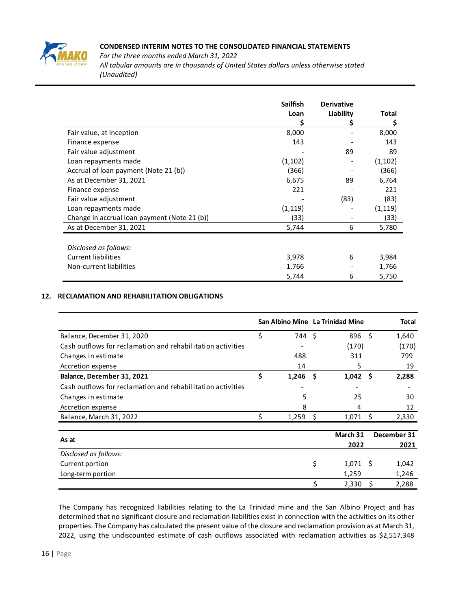

*For the three months ended March 31, 2022 All tabular amounts are in thousands of United States dollars unless otherwise stated (Unaudited)*

|                                              | <b>Sailfish</b> | <b>Derivative</b> |          |
|----------------------------------------------|-----------------|-------------------|----------|
|                                              | Loan            | Liability         | Total    |
|                                              | Ş               |                   | \$       |
| Fair value, at inception                     | 8,000           |                   | 8,000    |
| Finance expense                              | 143             |                   | 143      |
| Fair value adjustment                        |                 | 89                | 89       |
| Loan repayments made                         | (1, 102)        |                   | (1, 102) |
| Accrual of loan payment (Note 21 (b))        | (366)           |                   | (366)    |
| As at December 31, 2021                      | 6,675           | 89                | 6,764    |
| Finance expense                              | 221             |                   | 221      |
| Fair value adjustment                        |                 | (83)              | (83)     |
| Loan repayments made                         | (1, 119)        |                   | (1, 119) |
| Change in accrual loan payment (Note 21 (b)) | (33)            |                   | (33)     |
| As at December 31, 2021                      | 5,744           | 6                 | 5,780    |
|                                              |                 |                   |          |
| Disclosed as follows:                        |                 |                   |          |
| <b>Current liabilities</b>                   | 3,978           | 6                 | 3,984    |
| Non-current liabilities                      | 1,766           |                   | 1,766    |
|                                              | 5,744           | 6                 | 5,750    |

# **12. RECLAMATION AND REHABILITATION OBLIGATIONS**

|                                                             |    |        |    | San Albino Mine La Trinidad Mine |      | Total       |
|-------------------------------------------------------------|----|--------|----|----------------------------------|------|-------------|
| Balance, December 31, 2020                                  | \$ | 744 \$ |    | 896                              | - \$ | 1,640       |
| Cash outflows for reclamation and rehabilitation activities |    |        |    | (170)                            |      | (170)       |
| Changes in estimate                                         |    | 488    |    | 311                              |      | 799         |
| Accretion expense                                           |    | 14     |    | 5                                |      | 19          |
| Balance, December 31, 2021                                  | Ś  | 1,246  | S  | 1,042                            | -S   | 2,288       |
| Cash outflows for reclamation and rehabilitation activities |    |        |    |                                  |      |             |
| Changes in estimate                                         |    | 5      |    | 25                               |      | 30          |
| Accretion expense                                           |    | 8      |    | 4                                |      | 12          |
| Balance, March 31, 2022                                     | Ś  | 1,259  | S  | 1,071                            | -S   | 2,330       |
| As at                                                       |    |        |    | March 31                         |      | December 31 |
| Disclosed as follows:                                       |    |        |    | 2022                             |      | 2021        |
| Current portion                                             |    |        | \$ | $1,071$ \$                       |      | 1,042       |
| Long-term portion                                           |    |        |    | 1,259                            |      | 1,246       |
|                                                             |    |        |    | 2,330                            |      | 2,288       |

The Company has recognized liabilities relating to the La Trinidad mine and the San Albino Project and has determined that no significant closure and reclamation liabilities exist in connection with the activities on its other properties. The Company has calculated the present value of the closure and reclamation provision as at March 31, 2022, using the undiscounted estimate of cash outflows associated with reclamation activities as \$2,517,348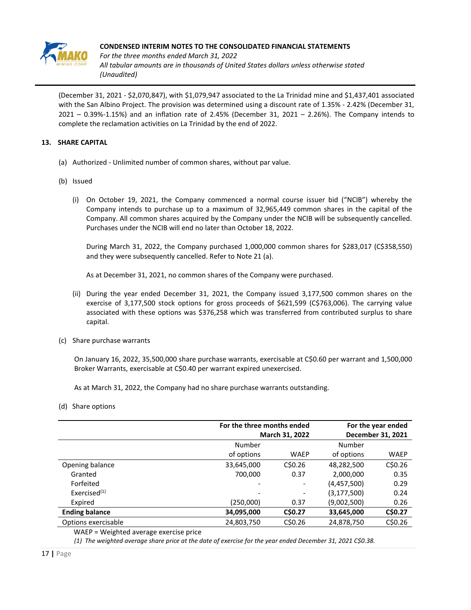

*For the three months ended March 31, 2022 All tabular amounts are in thousands of United States dollars unless otherwise stated (Unaudited)*

(December 31, 2021 - \$2,070,847), with \$1,079,947 associated to the La Trinidad mine and \$1,437,401 associated with the San Albino Project. The provision was determined using a discount rate of 1.35% - 2.42% (December 31, 2021 – 0.39%-1.15%) and an inflation rate of 2.45% (December 31, 2021 – 2.26%). The Company intends to complete the reclamation activities on La Trinidad by the end of 2022.

# **13. SHARE CAPITAL**

- (a) Authorized Unlimited number of common shares, without par value.
- (b) Issued
	- (i) On October 19, 2021, the Company commenced a normal course issuer bid ("NCIB") whereby the Company intends to purchase up to a maximum of 32,965,449 common shares in the capital of the Company. All common shares acquired by the Company under the NCIB will be subsequently cancelled. Purchases under the NCIB will end no later than October 18, 2022.

During March 31, 2022, the Company purchased 1,000,000 common shares for \$283,017 (C\$358,550) and they were subsequently cancelled. Refer to Note 21 (a).

As at December 31, 2021, no common shares of the Company were purchased.

- (ii) During the year ended December 31, 2021, the Company issued 3,177,500 common shares on the exercise of 3,177,500 stock options for gross proceeds of \$621,599 (C\$763,006). The carrying value associated with these options was \$376,258 which was transferred from contributed surplus to share capital.
- (c) Share purchase warrants

On January 16, 2022, 35,500,000 share purchase warrants, exercisable at C\$0.60 per warrant and 1,500,000 Broker Warrants, exercisable at C\$0.40 per warrant expired unexercised.

As at March 31, 2022, the Company had no share purchase warrants outstanding.

(d) Share options

|                       |            | For the three months ended<br>March 31, 2022 |               |                   |
|-----------------------|------------|----------------------------------------------|---------------|-------------------|
|                       |            |                                              |               | December 31, 2021 |
|                       | Number     |                                              | Number        |                   |
|                       | of options | <b>WAEP</b>                                  | of options    | <b>WAEP</b>       |
| Opening balance       | 33,645,000 | CSD.26                                       | 48,282,500    | C\$0.26           |
| Granted               | 700,000    | 0.37                                         | 2,000,000     | 0.35              |
| Forfeited             |            |                                              | (4,457,500)   | 0.29              |
| Exercised $(1)$       |            | -                                            | (3, 177, 500) | 0.24              |
| Expired               | (250,000)  | 0.37                                         | (9,002,500)   | 0.26              |
| <b>Ending balance</b> | 34,095,000 | C\$0.27                                      | 33,645,000    | C\$0.27           |
| Options exercisable   | 24,803,750 | C\$0.26                                      | 24,878,750    | C\$0.26           |
|                       |            |                                              |               |                   |

WAEP = Weighted average exercise price

*(1) The weighted average share price at the date of exercise for the year ended December 31, 2021 C\$0.38.*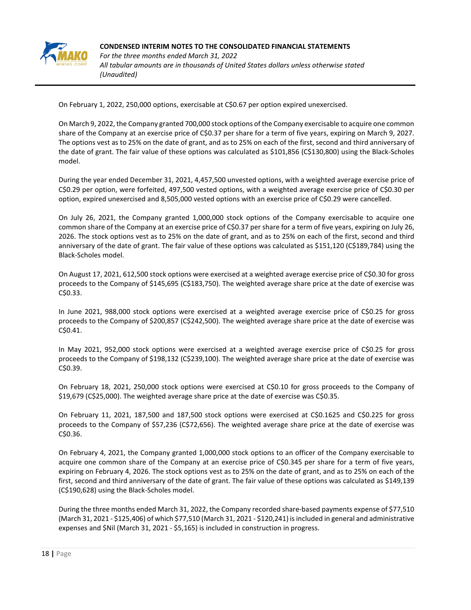

**CONDENSED INTERIM NOTES TO THE CONSOLIDATED FINANCIAL STATEMENTS** *For the three months ended March 31, 2022 All tabular amounts are in thousands of United States dollars unless otherwise stated (Unaudited)*

On February 1, 2022, 250,000 options, exercisable at C\$0.67 per option expired unexercised.

On March 9, 2022, the Company granted 700,000 stock options of the Company exercisable to acquire one common share of the Company at an exercise price of C\$0.37 per share for a term of five years, expiring on March 9, 2027. The options vest as to 25% on the date of grant, and as to 25% on each of the first, second and third anniversary of the date of grant. The fair value of these options was calculated as \$101,856 (C\$130,800) using the Black-Scholes model.

During the year ended December 31, 2021, 4,457,500 unvested options, with a weighted average exercise price of C\$0.29 per option, were forfeited, 497,500 vested options, with a weighted average exercise price of C\$0.30 per option, expired unexercised and 8,505,000 vested options with an exercise price of C\$0.29 were cancelled.

On July 26, 2021, the Company granted 1,000,000 stock options of the Company exercisable to acquire one common share of the Company at an exercise price of C\$0.37 per share for a term of five years, expiring on July 26, 2026. The stock options vest as to 25% on the date of grant, and as to 25% on each of the first, second and third anniversary of the date of grant. The fair value of these options was calculated as \$151,120 (C\$189,784) using the Black-Scholes model.

On August 17, 2021, 612,500 stock options were exercised at a weighted average exercise price of C\$0.30 for gross proceeds to the Company of \$145,695 (C\$183,750). The weighted average share price at the date of exercise was C\$0.33.

In June 2021, 988,000 stock options were exercised at a weighted average exercise price of C\$0.25 for gross proceeds to the Company of \$200,857 (C\$242,500). The weighted average share price at the date of exercise was C\$0.41.

In May 2021, 952,000 stock options were exercised at a weighted average exercise price of C\$0.25 for gross proceeds to the Company of \$198,132 (C\$239,100). The weighted average share price at the date of exercise was C\$0.39.

On February 18, 2021, 250,000 stock options were exercised at C\$0.10 for gross proceeds to the Company of \$19,679 (C\$25,000). The weighted average share price at the date of exercise was C\$0.35.

On February 11, 2021, 187,500 and 187,500 stock options were exercised at C\$0.1625 and C\$0.225 for gross proceeds to the Company of \$57,236 (C\$72,656). The weighted average share price at the date of exercise was C\$0.36.

On February 4, 2021, the Company granted 1,000,000 stock options to an officer of the Company exercisable to acquire one common share of the Company at an exercise price of C\$0.345 per share for a term of five years, expiring on February 4, 2026. The stock options vest as to 25% on the date of grant, and as to 25% on each of the first, second and third anniversary of the date of grant. The fair value of these options was calculated as \$149,139 (C\$190,628) using the Black-Scholes model.

During the three months ended March 31, 2022, the Company recorded share-based payments expense of \$77,510 (March 31, 2021 - \$125,406) of which \$77,510 (March 31, 2021 - \$120,241) is included in general and administrative expenses and \$Nil (March 31, 2021 - \$5,165) is included in construction in progress.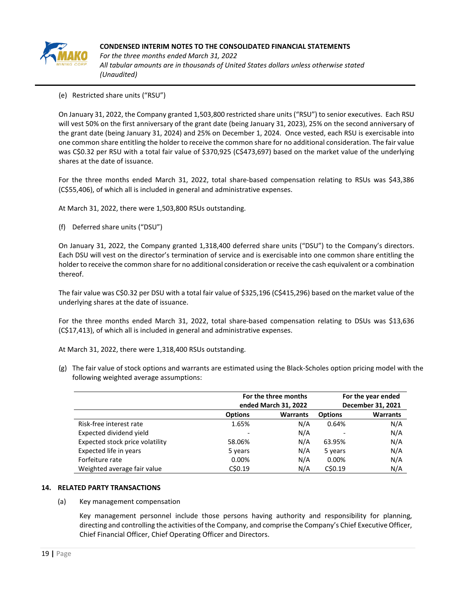

*For the three months ended March 31, 2022 All tabular amounts are in thousands of United States dollars unless otherwise stated (Unaudited)*

(e) Restricted share units ("RSU")

On January 31, 2022, the Company granted 1,503,800 restricted share units ("RSU") to senior executives. Each RSU will vest 50% on the first anniversary of the grant date (being January 31, 2023), 25% on the second anniversary of the grant date (being January 31, 2024) and 25% on December 1, 2024. Once vested, each RSU is exercisable into one common share entitling the holder to receive the common share for no additional consideration. The fair value was C\$0.32 per RSU with a total fair value of \$370,925 (C\$473,697) based on the market value of the underlying shares at the date of issuance.

For the three months ended March 31, 2022, total share-based compensation relating to RSUs was \$43,386 (C\$55,406), of which all is included in general and administrative expenses.

At March 31, 2022, there were 1,503,800 RSUs outstanding.

(f) Deferred share units ("DSU")

On January 31, 2022, the Company granted 1,318,400 deferred share units ("DSU") to the Company's directors. Each DSU will vest on the director's termination of service and is exercisable into one common share entitling the holder to receive the common share for no additional consideration or receive the cash equivalent or a combination thereof.

The fair value was C\$0.32 per DSU with a total fair value of \$325,196 (C\$415,296) based on the market value of the underlying shares at the date of issuance.

For the three months ended March 31, 2022, total share-based compensation relating to DSUs was \$13,636 (C\$17,413), of which all is included in general and administrative expenses.

At March 31, 2022, there were 1,318,400 RSUs outstanding.

(g) The fair value of stock options and warrants are estimated using the Black-Scholes option pricing model with the following weighted average assumptions:

|                                 |                | For the three months<br>ended March 31, 2022 | For the year ended<br>December 31, 2021 |                 |  |
|---------------------------------|----------------|----------------------------------------------|-----------------------------------------|-----------------|--|
|                                 | <b>Options</b> | <b>Warrants</b>                              | <b>Options</b>                          | <b>Warrants</b> |  |
| Risk-free interest rate         | 1.65%          | N/A                                          | 0.64%                                   | N/A             |  |
| Expected dividend yield         |                | N/A                                          |                                         | N/A             |  |
| Expected stock price volatility | 58.06%         | N/A                                          | 63.95%                                  | N/A             |  |
| Expected life in years          | 5 years        | N/A                                          | 5 years                                 | N/A             |  |
| Forfeiture rate                 | 0.00%          | N/A                                          | 0.00%                                   | N/A             |  |
| Weighted average fair value     | C\$0.19        | N/A                                          | C\$0.19                                 | N/A             |  |

#### **14. RELATED PARTY TRANSACTIONS**

(a) Key management compensation

Key management personnel include those persons having authority and responsibility for planning, directing and controlling the activities of the Company, and comprise the Company's Chief Executive Officer, Chief Financial Officer, Chief Operating Officer and Directors.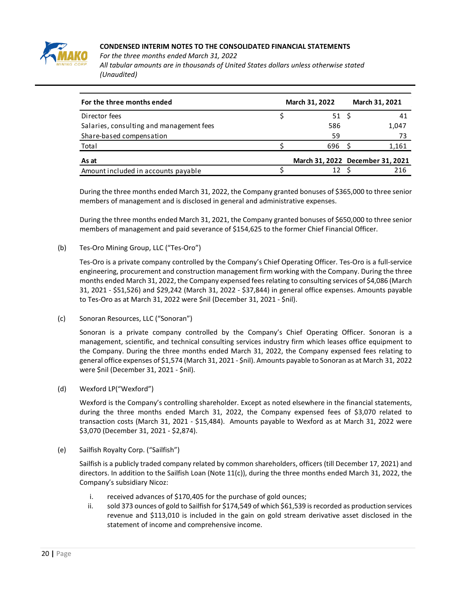

*For the three months ended March 31, 2022*

*All tabular amounts are in thousands of United States dollars unless otherwise stated (Unaudited)*

| For the three months ended               | March 31, 2022 | March 31, 2021                   |  |
|------------------------------------------|----------------|----------------------------------|--|
| Director fees                            | 51 \$          | 41                               |  |
| Salaries, consulting and management fees | 586            | 1,047                            |  |
| Share-based compensation                 | 59             | 73                               |  |
| Total                                    | 696            | 1,161                            |  |
| As at                                    |                | March 31, 2022 December 31, 2021 |  |
| Amount included in accounts payable      |                | 216                              |  |

During the three months ended March 31, 2022, the Company granted bonuses of \$365,000 to three senior members of management and is disclosed in general and administrative expenses.

During the three months ended March 31, 2021, the Company granted bonuses of \$650,000 to three senior members of management and paid severance of \$154,625 to the former Chief Financial Officer.

(b) Tes-Oro Mining Group, LLC ("Tes-Oro")

Tes-Oro is a private company controlled by the Company's Chief Operating Officer. Tes-Oro is a full-service engineering, procurement and construction management firm working with the Company. During the three months ended March 31, 2022, the Company expensed fees relating to consulting services of \$4,086 (March 31, 2021 - \$51,526) and \$29,242 (March 31, 2022 - \$37,844) in general office expenses. Amounts payable to Tes-Oro as at March 31, 2022 were \$nil (December 31, 2021 - \$nil).

(c) Sonoran Resources, LLC ("Sonoran")

Sonoran is a private company controlled by the Company's Chief Operating Officer. Sonoran is a management, scientific, and technical consulting services industry firm which leases office equipment to the Company. During the three months ended March 31, 2022, the Company expensed fees relating to general office expenses of \$1,574 (March 31, 2021 - \$nil). Amounts payable to Sonoran as at March 31, 2022 were \$nil (December 31, 2021 - \$nil).

(d) Wexford LP("Wexford")

Wexford is the Company's controlling shareholder. Except as noted elsewhere in the financial statements, during the three months ended March 31, 2022, the Company expensed fees of \$3,070 related to transaction costs (March 31, 2021 - \$15,484). Amounts payable to Wexford as at March 31, 2022 were \$3,070 (December 31, 2021 - \$2,874).

(e) Sailfish Royalty Corp. ("Sailfish")

Sailfish is a publicly traded company related by common shareholders, officers (till December 17, 2021) and directors. In addition to the Sailfish Loan (Note 11(c)), during the three months ended March 31, 2022, the Company's subsidiary Nicoz:

- i. received advances of \$170,405 for the purchase of gold ounces;
- ii. sold 373 ounces of gold to Sailfish for \$174,549 of which \$61,539 is recorded as production services revenue and \$113,010 is included in the gain on gold stream derivative asset disclosed in the statement of income and comprehensive income.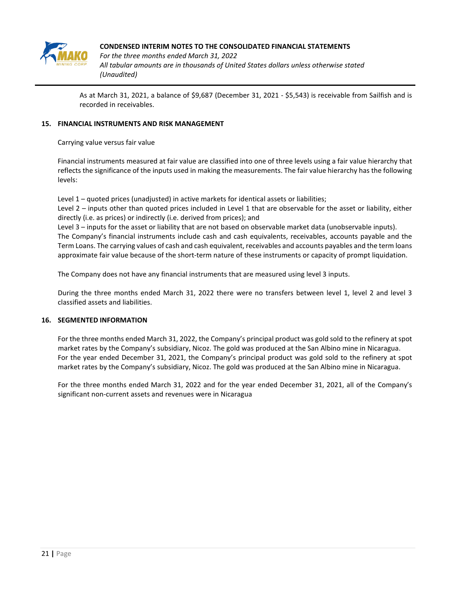

*For the three months ended March 31, 2022 All tabular amounts are in thousands of United States dollars unless otherwise stated (Unaudited)*

As at March 31, 2021, a balance of \$9,687 (December 31, 2021 - \$5,543) is receivable from Sailfish and is recorded in receivables.

## **15. FINANCIAL INSTRUMENTS AND RISK MANAGEMENT**

Carrying value versus fair value

Financial instruments measured at fair value are classified into one of three levels using a fair value hierarchy that reflects the significance of the inputs used in making the measurements. The fair value hierarchy has the following levels:

Level 1 – quoted prices (unadjusted) in active markets for identical assets or liabilities;

Level 2 – inputs other than quoted prices included in Level 1 that are observable for the asset or liability, either directly (i.e. as prices) or indirectly (i.e. derived from prices); and

Level 3 – inputs for the asset or liability that are not based on observable market data (unobservable inputs). The Company's financial instruments include cash and cash equivalents, receivables, accounts payable and the Term Loans. The carrying values of cash and cash equivalent, receivables and accounts payables and the term loans approximate fair value because of the short-term nature of these instruments or capacity of prompt liquidation.

The Company does not have any financial instruments that are measured using level 3 inputs.

During the three months ended March 31, 2022 there were no transfers between level 1, level 2 and level 3 classified assets and liabilities.

#### **16. SEGMENTED INFORMATION**

For the three months ended March 31, 2022, the Company's principal product was gold sold to the refinery at spot market rates by the Company's subsidiary, Nicoz. The gold was produced at the San Albino mine in Nicaragua. For the year ended December 31, 2021, the Company's principal product was gold sold to the refinery at spot market rates by the Company's subsidiary, Nicoz. The gold was produced at the San Albino mine in Nicaragua.

For the three months ended March 31, 2022 and for the year ended December 31, 2021, all of the Company's significant non-current assets and revenues were in Nicaragua